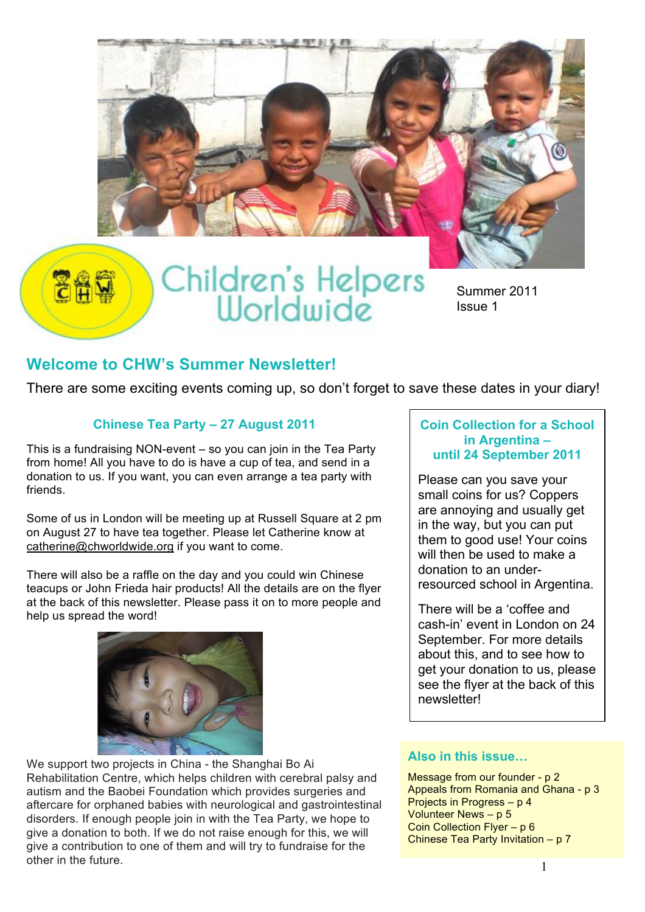

Summer 2011 Issue 1

### **Welcome to CHW's Summer Newsletter!**

There are some exciting events coming up, so don't forget to save these dates in your diary!

#### **Chinese Tea Party – 27 August 2011**

This is a fundraising NON-event – so you can join in the Tea Party from home! All you have to do is have a cup of tea, and send in a donation to us. If you want, you can even arrange a tea party with friends.

Some of us in London will be meeting up at Russell Square at 2 pm on August 27 to have tea together. Please let Catherine know at catherine@chworldwide.org if you want to come.

There will also be a raffle on the day and you could win Chinese teacups or John Frieda hair products! All the details are on the flyer at the back of this newsletter. Please pass it on to more people and help us spread the word!



We support two projects in China - the Shanghai Bo Ai Rehabilitation Centre, which helps children with cerebral palsy and autism and the Baobei Foundation which provides surgeries and aftercare for orphaned babies with neurological and gastrointestinal disorders. If enough people join in with the Tea Party, we hope to give a donation to both. If we do not raise enough for this, we will give a contribution to one of them and will try to fundraise for the other in the future.

#### **Coin Collection for a School in Argentina – until 24 September 2011**

Please can you save your small coins for us? Coppers are annoying and usually get in the way, but you can put them to good use! Your coins will then be used to make a donation to an underresourced school in Argentina.

There will be a 'coffee and cash-in' event in London on 24 September. For more details about this, and to see how to get your donation to us, please see the flyer at the back of this newsletter!

#### **Also in this issue…**

Message from our founder - p 2 Appeals from Romania and Ghana - p 3 Projects in Progress – p 4 Volunteer News – p 5 Coin Collection Flyer – p 6 Chinese Tea Party Invitation – p 7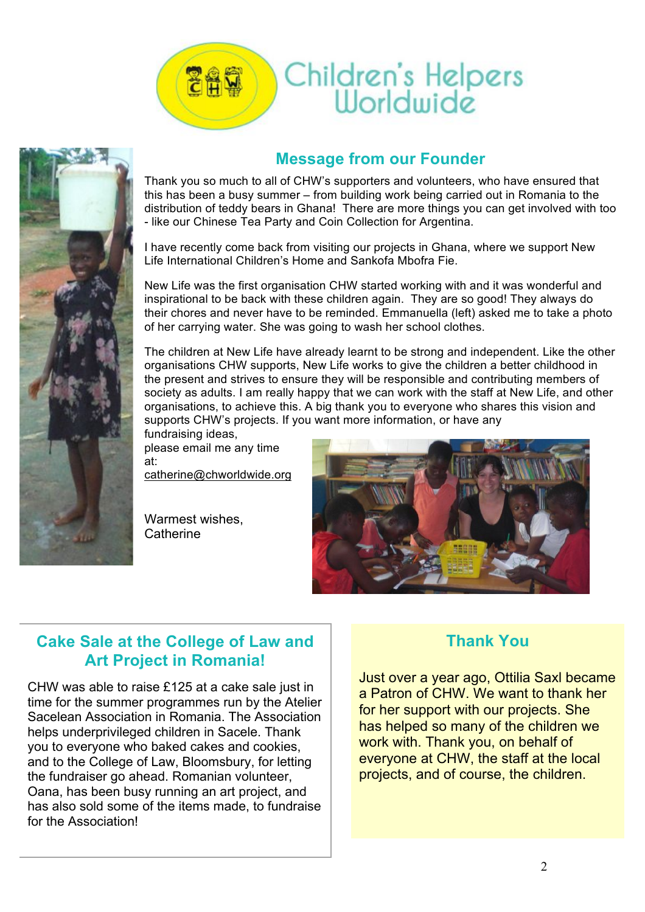



## **Message from our Founder**

Thank you so much to all of CHW's supporters and volunteers, who have ensured that this has been a busy summer – from building work being carried out in Romania to the distribution of teddy bears in Ghana! There are more things you can get involved with too - like our Chinese Tea Party and Coin Collection for Argentina.

I have recently come back from visiting our projects in Ghana, where we support New Life International Children's Home and Sankofa Mbofra Fie.

New Life was the first organisation CHW started working with and it was wonderful and inspirational to be back with these children again. They are so good! They always do their chores and never have to be reminded. Emmanuella (left) asked me to take a photo of her carrying water. She was going to wash her school clothes.

The children at New Life have already learnt to be strong and independent. Like the other organisations CHW supports, New Life works to give the children a better childhood in the present and strives to ensure they will be responsible and contributing members of society as adults. I am really happy that we can work with the staff at New Life, and other organisations, to achieve this. A big thank you to everyone who shares this vision and supports CHW's projects. If you want more information, or have any

fundraising ideas, please email me any time at:

catherine@chworldwide.org

Warmest wishes, **Catherine** 



## **Cake Sale at the College of Law and Art Project in Romania!**

CHW was able to raise £125 at a cake sale just in time for the summer programmes run by the Atelier Sacelean Association in Romania. The Association helps underprivileged children in Sacele. Thank you to everyone who baked cakes and cookies, and to the College of Law, Bloomsbury, for letting the fundraiser go ahead. Romanian volunteer, Oana, has been busy running an art project, and has also sold some of the items made, to fundraise for the Association!

## **Thank You**

Just over a year ago, Ottilia Saxl became a Patron of CHW. We want to thank her for her support with our projects. She has helped so many of the children we work with. Thank you, on behalf of everyone at CHW, the staff at the local projects, and of course, the children.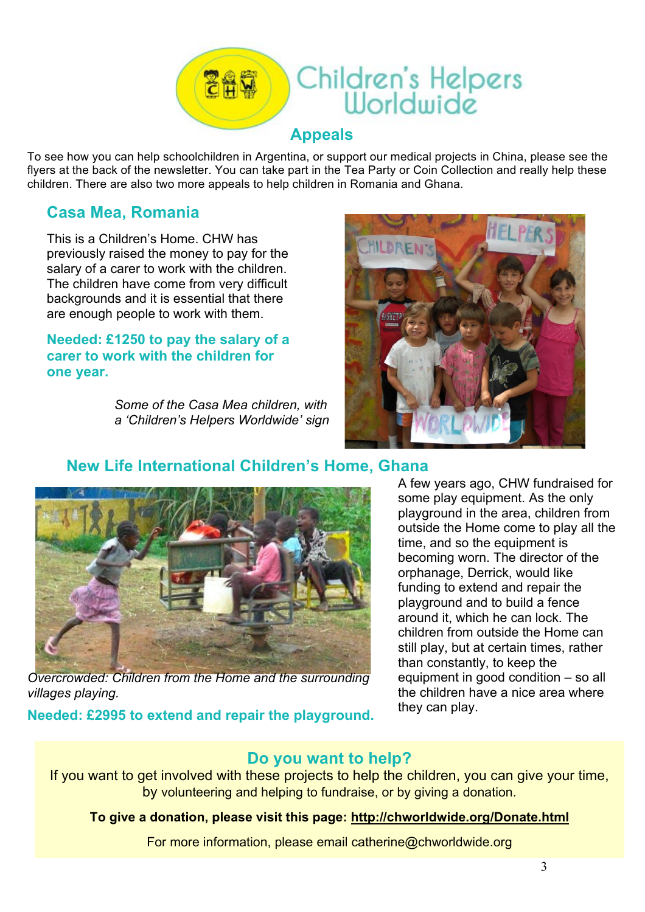

To see how you can help schoolchildren in Argentina, or support our medical projects in China, please see the flyers at the back of the newsletter. You can take part in the Tea Party or Coin Collection and really help these children. There are also two more appeals to help children in Romania and Ghana.

### **Casa Mea, Romania**

This is a Children's Home. CHW has previously raised the money to pay for the salary of a carer to work with the children. The children have come from very difficult backgrounds and it is essential that there are enough people to work with them.

#### **Needed: £1250 to pay the salary of a carer to work with the children for one year.**

*Some of the Casa Mea children, with a 'Children's Helpers Worldwide' sign*



## **New Life International Children's Home, Ghana**



*Overcrowded: Children from the Home and the surrounding villages playing.*

**Needed: £2995 to extend and repair the playground.**

A few years ago, CHW fundraised for some play equipment. As the only playground in the area, children from outside the Home come to play all the time, and so the equipment is becoming worn. The director of the orphanage, Derrick, would like funding to extend and repair the playground and to build a fence around it, which he can lock. The children from outside the Home can still play, but at certain times, rather than constantly, to keep the equipment in good condition – so all the children have a nice area where they can play.

#### **Do you want to help?**

If you want to get involved with these projects to help the children, you can give your time, by volunteering and helping to fundraise, or by giving a donation.

#### **To give a donation, please visit this page: http://chworldwide.org/Donate.html**

For more information, please email catherine@chworldwide.org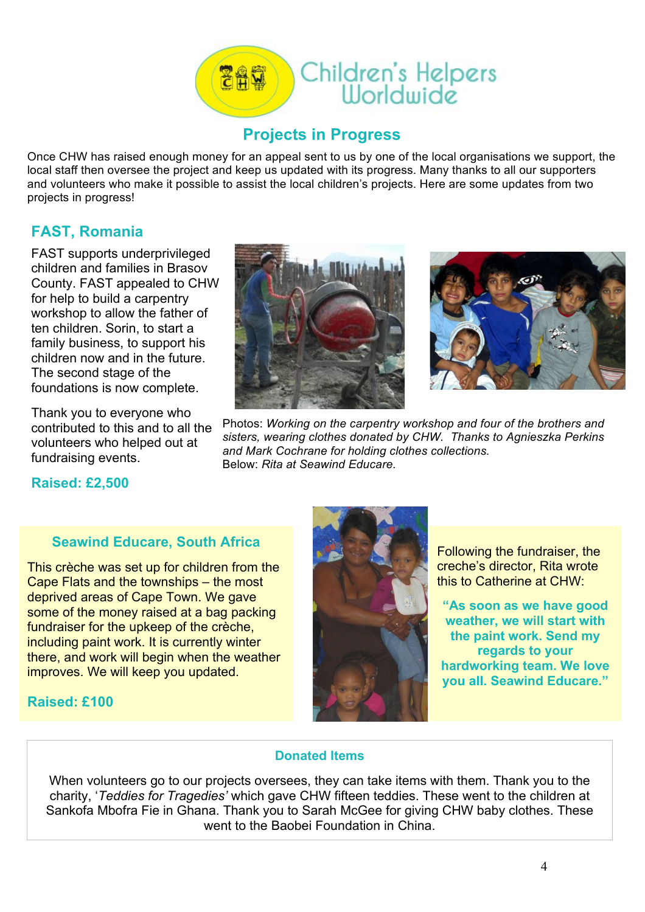

#### **Projects in Progress**

Once CHW has raised enough money for an appeal sent to us by one of the local organisations we support, the local staff then oversee the project and keep us updated with its progress. Many thanks to all our supporters and volunteers who make it possible to assist the local children's projects. Here are some updates from two projects in progress!

## **FAST, Romania**

FAST supports underprivileged children and families in Brasov County. FAST appealed to CHW for help to build a carpentry workshop to allow the father of ten children. Sorin, to start a family business, to support his children now and in the future. The second stage of the foundations is now complete.

Thank you to everyone who contributed to this and to all the volunteers who helped out at fundraising events.



Photos: *Working on the carpentry workshop and four of the brothers and sisters, wearing clothes donated by CHW. Thanks to Agnieszka Perkins and Mark Cochrane for holding clothes collections.* Below: *Rita at Seawind Educare.*

#### **Raised: £2,500**

#### **Seawind Educare, South Africa**

This crèche was set up for children from the Cape Flats and the townships – the most deprived areas of Cape Town. We gave some of the money raised at a bag packing fundraiser for the upkeep of the crèche, including paint work. It is currently winter there, and work will begin when the weather improves. We will keep you updated.



Following the fundraiser, the creche's director, Rita wrote this to Catherine at CHW:

**"As soon as we have good weather, we will start with the paint work. Send my regards to your hardworking team. We love you all. Seawind Educare."**

#### **Raised: £100**

#### **Donated Items**

When volunteers go to our projects oversees, they can take items with them. Thank you to the charity, '*Teddies for Tragedies'* which gave CHW fifteen teddies. These went to the children at Sankofa Mbofra Fie in Ghana. Thank you to Sarah McGee for giving CHW baby clothes. These went to the Baobei Foundation in China.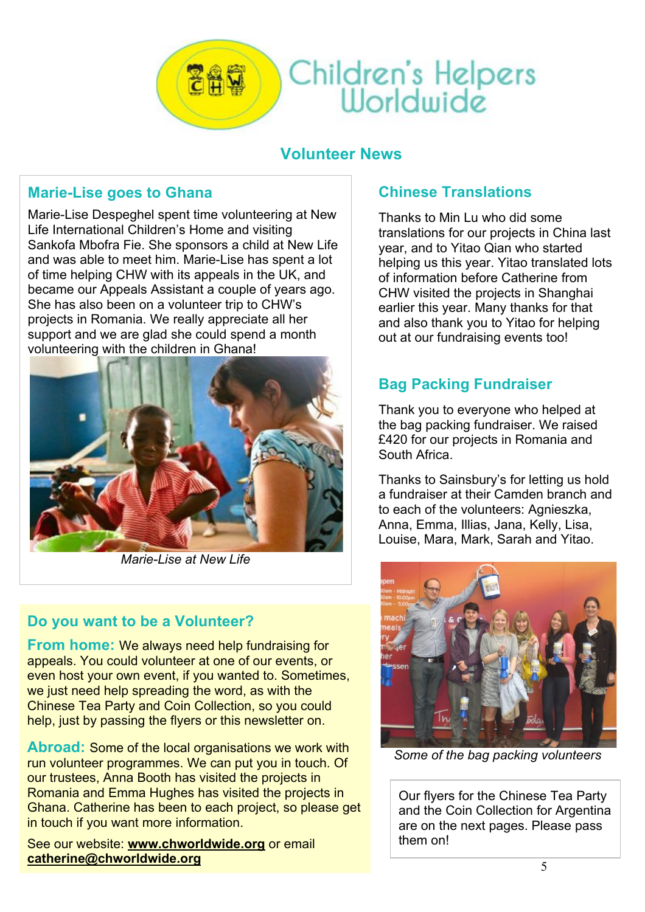

Children's Helpers<br>Worldwide

## **Volunteer News**

## **Marie-Lise goes to Ghana**

Marie-Lise Despeghel spent time volunteering at New Life International Children's Home and visiting Sankofa Mbofra Fie. She sponsors a child at New Life and was able to meet him. Marie-Lise has spent a lot of time helping CHW with its appeals in the UK, and became our Appeals Assistant a couple of years ago. She has also been on a volunteer trip to CHW's projects in Romania. We really appreciate all her support and we are glad she could spend a month volunteering with the children in Ghana!



*Marie-Lise at New Life*

## **Do you want to be a Volunteer?**

**From home:** We always need help fundraising for appeals. You could volunteer at one of our events, or even host your own event, if you wanted to. Sometimes, we just need help spreading the word, as with the Chinese Tea Party and Coin Collection, so you could help, just by passing the flyers or this newsletter on.

**Abroad:** Some of the local organisations we work with run volunteer programmes. We can put you in touch. Of our trustees, Anna Booth has visited the projects in Romania and Emma Hughes has visited the projects in Ghana. Catherine has been to each project, so please get in touch if you want more information.

See our website: **www.chworldwide.org** or email **catherine@chworldwide.org**

## **Chinese Translations**

Thanks to Min Lu who did some translations for our projects in China last year, and to Yitao Qian who started helping us this year. Yitao translated lots of information before Catherine from CHW visited the projects in Shanghai earlier this year. Many thanks for that and also thank you to Yitao for helping out at our fundraising events too!

## **Bag Packing Fundraiser**

Thank you to everyone who helped at the bag packing fundraiser. We raised £420 for our projects in Romania and South Africa.

Thanks to Sainsbury's for letting us hold a fundraiser at their Camden branch and to each of the volunteers: Agnieszka, Anna, Emma, Illias, Jana, Kelly, Lisa, Louise, Mara, Mark, Sarah and Yitao.



*Some of the bag packing volunteers*

Our flyers for the Chinese Tea Party and the Coin Collection for Argentina are on the next pages. Please pass them on!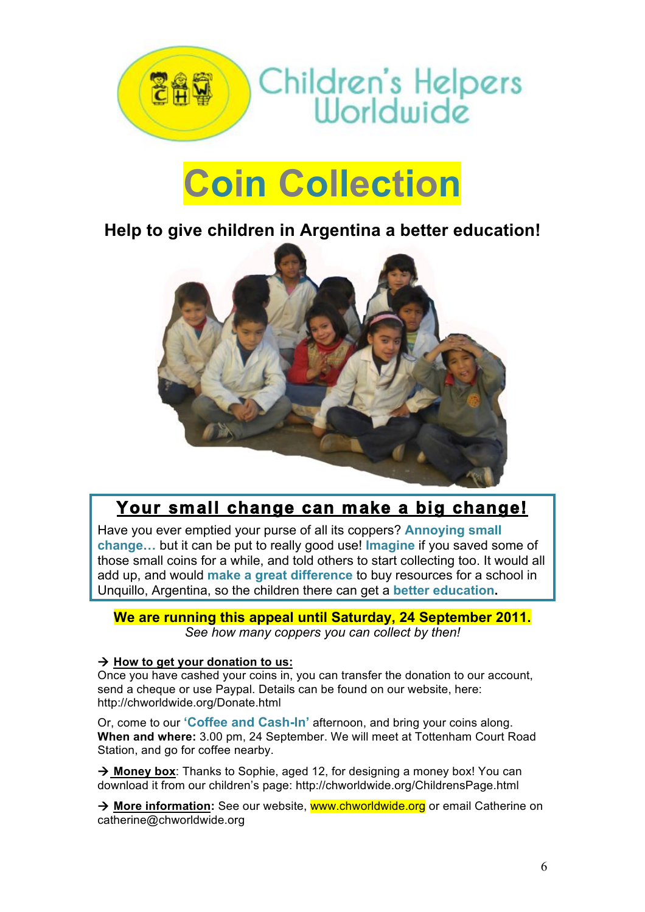

# **Coin Collection**

## **Help to give children in Argentina a better education!**



## **Your small change can make a big change!**

Have you ever emptied your purse of all its coppers? **Annoying small change…** but it can be put to really good use! **Imagine** if you saved some of those small coins for a while, and told others to start collecting too. It would all add up, and would **make a great difference** to buy resources for a school in Unquillo, Argentina, so the children there can get a **better education.**

**We are running this appeal until Saturday, 24 September 2011.** *See how many coppers you can collect by then!*

#### $\rightarrow$  How to get your donation to us:

Once you have cashed your coins in, you can transfer the donation to our account, send a cheque or use Paypal. Details can be found on our website, here: http://chworldwide.org/Donate.html

Or, come to our **'Coffee and Cash-In'** afternoon, and bring your coins along. **When and where:** 3.00 pm, 24 September. We will meet at Tottenham Court Road Station, and go for coffee nearby.

**→ Money box**: Thanks to Sophie, aged 12, for designing a money box! You can download it from our children's page: http://chworldwide.org/ChildrensPage.html

→ More information: See our website, www.chworldwide.org or email Catherine on catherine@chworldwide.org